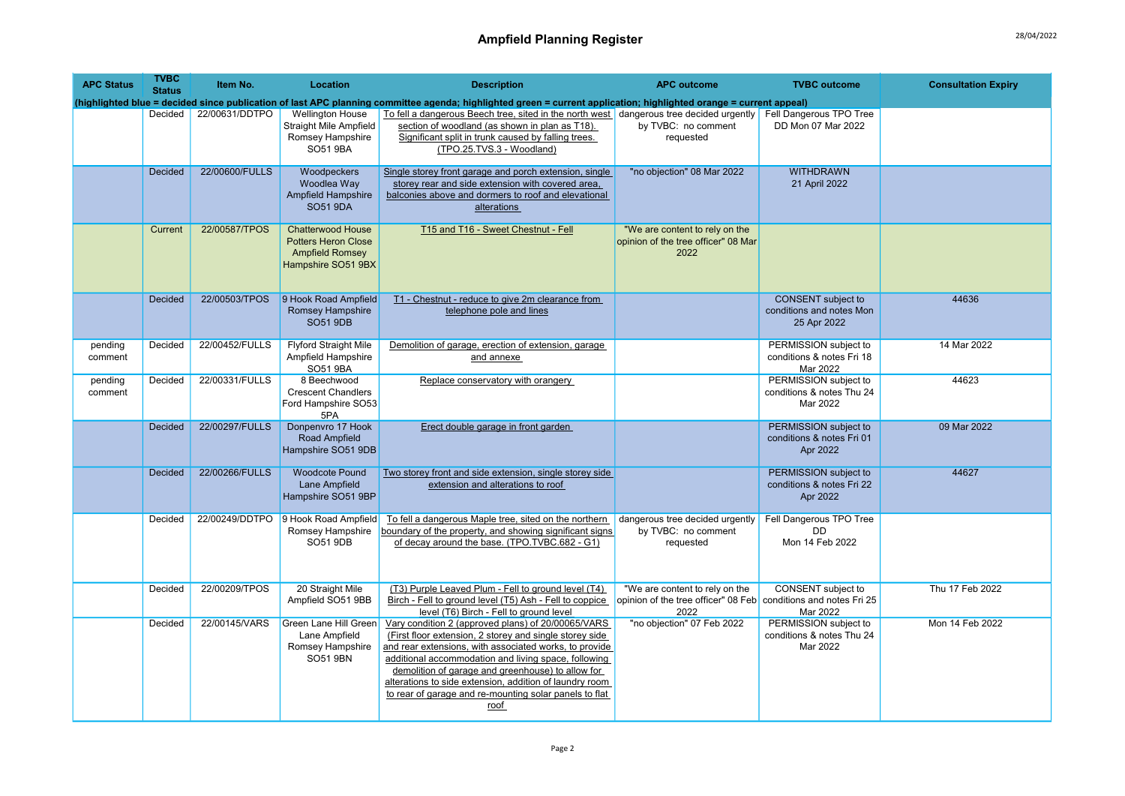| <b>APC Status</b>  | <b>TVBC</b><br><b>Status</b> | Item No.       | Location                                                                                               | <b>Description</b>                                                                                                                                                                                                                                                                                                                                                                                                | <b>APC outcome</b>                                                                                        | <b>TVBC</b> outcome                                                  | <b>Consultation Expiry</b> |
|--------------------|------------------------------|----------------|--------------------------------------------------------------------------------------------------------|-------------------------------------------------------------------------------------------------------------------------------------------------------------------------------------------------------------------------------------------------------------------------------------------------------------------------------------------------------------------------------------------------------------------|-----------------------------------------------------------------------------------------------------------|----------------------------------------------------------------------|----------------------------|
|                    |                              |                |                                                                                                        | (highlighted blue = decided since publication of last APC planning committee agenda; highlighted green = current application; highlighted orange = current appeal)                                                                                                                                                                                                                                                |                                                                                                           |                                                                      |                            |
|                    | Decided                      | 22/00631/DDTPO | <b>Wellington House</b><br><b>Straight Mile Ampfield</b><br>Romsey Hampshire<br><b>SO51 9BA</b>        | To fell a dangerous Beech tree, sited in the north west dangerous tree decided urgently<br>section of woodland (as shown in plan as T18).<br>Significant split in trunk caused by falling trees.<br>(TPO.25.TVS.3 - Woodland)                                                                                                                                                                                     | by TVBC: no comment<br>requested                                                                          | Fell Dangerous TPO Tree<br>DD Mon 07 Mar 2022                        |                            |
|                    | <b>Decided</b>               | 22/00600/FULLS | Woodpeckers<br>Woodlea Way<br>Ampfield Hampshire<br><b>SO51 9DA</b>                                    | Single storey front garage and porch extension, single<br>storey rear and side extension with covered area,<br>balconies above and dormers to roof and elevational<br>alterations                                                                                                                                                                                                                                 | "no objection" 08 Mar 2022                                                                                | <b>WITHDRAWN</b><br>21 April 2022                                    |                            |
|                    | Current                      | 22/00587/TPOS  | <b>Chatterwood House</b><br><b>Potters Heron Close</b><br><b>Ampfield Romsey</b><br>Hampshire SO51 9BX | T15 and T16 - Sweet Chestnut - Fell                                                                                                                                                                                                                                                                                                                                                                               | "We are content to rely on the<br>opinion of the tree officer" 08 Mar<br>2022                             |                                                                      |                            |
|                    | <b>Decided</b>               | 22/00503/TPOS  | 9 Hook Road Ampfield<br>Romsey Hampshire<br><b>SO51 9DB</b>                                            | T1 - Chestnut - reduce to give 2m clearance from<br>telephone pole and lines                                                                                                                                                                                                                                                                                                                                      |                                                                                                           | <b>CONSENT</b> subject to<br>conditions and notes Mon<br>25 Apr 2022 | 44636                      |
| pending<br>comment | Decided                      | 22/00452/FULLS | <b>Flyford Straight Mile</b><br>Ampfield Hampshire<br><b>SO51 9BA</b>                                  | Demolition of garage, erection of extension, garage<br>and annexe                                                                                                                                                                                                                                                                                                                                                 |                                                                                                           | PERMISSION subject to<br>conditions & notes Fri 18<br>Mar 2022       | 14 Mar 2022                |
| pending<br>comment | Decided                      | 22/00331/FULLS | 8 Beechwood<br><b>Crescent Chandlers</b><br>Ford Hampshire SO53<br>5PA                                 | Replace conservatory with orangery                                                                                                                                                                                                                                                                                                                                                                                |                                                                                                           | PERMISSION subject to<br>conditions & notes Thu 24<br>Mar 2022       | 44623                      |
|                    | Decided                      | 22/00297/FULLS | Donpenvro 17 Hook<br>Road Ampfield<br>Hampshire SO51 9DB                                               | Erect double garage in front garden                                                                                                                                                                                                                                                                                                                                                                               |                                                                                                           | PERMISSION subject to<br>conditions & notes Fri 01<br>Apr 2022       | 09 Mar 2022                |
|                    | Decided                      | 22/00266/FULLS | <b>Woodcote Pound</b><br>Lane Ampfield<br>Hampshire SO51 9BP                                           | Two storey front and side extension, single storey side<br>extension and alterations to roof                                                                                                                                                                                                                                                                                                                      |                                                                                                           | PERMISSION subject to<br>conditions & notes Fri 22<br>Apr 2022       | 44627                      |
|                    | Decided                      |                | 22/00249/DDTPO 9 Hook Road Ampfield<br>Romsey Hampshire<br>SO51 9DB                                    | To fell a dangerous Maple tree, sited on the northern<br>boundary of the property, and showing significant signs<br>of decay around the base. (TPO.TVBC.682 - G1)                                                                                                                                                                                                                                                 | dangerous tree decided urgently<br>by TVBC: no comment<br>requested                                       | Fell Dangerous TPO Tree<br><b>DD</b><br>Mon 14 Feb 2022              |                            |
|                    | Decided                      | 22/00209/TPOS  | 20 Straight Mile<br>Ampfield SO51 9BB                                                                  | (T3) Purple Leaved Plum - Fell to ground level (T4)<br>Birch - Fell to ground level (T5) Ash - Fell to coppice<br>level (T6) Birch - Fell to ground level                                                                                                                                                                                                                                                         | "We are content to rely on the<br>opinion of the tree officer" 08 Feb conditions and notes Fri 25<br>2022 | <b>CONSENT</b> subject to<br>Mar 2022                                | Thu 17 Feb 2022            |
|                    | Decided                      | 22/00145/VARS  | Green Lane Hill Green<br>Lane Ampfield<br>Romsey Hampshire<br>SO51 9BN                                 | Vary condition 2 (approved plans) of 20/00065/VARS<br>(First floor extension, 2 storey and single storey side<br>and rear extensions, with associated works, to provide<br>additional accommodation and living space, following<br>demolition of garage and greenhouse) to allow for<br>alterations to side extension, addition of laundry room<br>to rear of garage and re-mounting solar panels to flat<br>roof | "no objection" 07 Feb 2022                                                                                | PERMISSION subject to<br>conditions & notes Thu 24<br>Mar 2022       | Mon 14 Feb 2022            |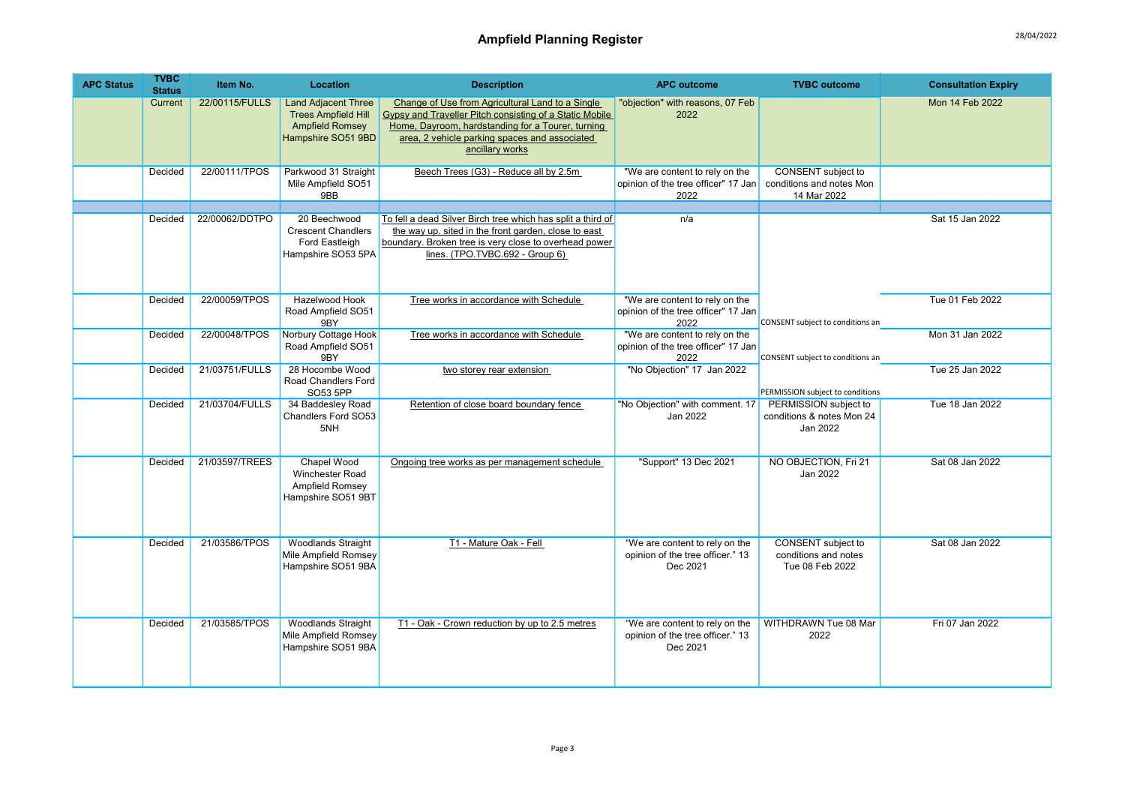## Ampfield Planning Register 28/04/2022

| <b>APC Status</b> | <b>TVBC</b><br><b>Status</b> | Item No.       | Location                                                                                                 | <b>Description</b>                                                                                                                                                                                                                   | <b>APC outcome</b>                                                             | <b>TVBC</b> outcome                                            | <b>Consultation Expiry</b> |
|-------------------|------------------------------|----------------|----------------------------------------------------------------------------------------------------------|--------------------------------------------------------------------------------------------------------------------------------------------------------------------------------------------------------------------------------------|--------------------------------------------------------------------------------|----------------------------------------------------------------|----------------------------|
|                   | Current                      | 22/00115/FULLS | <b>Land Adjacent Three</b><br><b>Trees Ampfield Hill</b><br><b>Ampfield Romsey</b><br>Hampshire SO51 9BD | Change of Use from Agricultural Land to a Single<br>Gypsy and Traveller Pitch consisting of a Static Mobile<br>Home, Dayroom, hardstanding for a Tourer, turning<br>area, 2 vehicle parking spaces and associated<br>ancillary works | "objection" with reasons, 07 Feb<br>2022                                       |                                                                | Mon 14 Feb 2022            |
|                   | Decided                      | 22/00111/TPOS  | Parkwood 31 Straight<br>Mile Ampfield SO51<br>9BB                                                        | Beech Trees (G3) - Reduce all by 2.5m                                                                                                                                                                                                | "We are content to rely on the<br>opinion of the tree officer" 17 Jan<br>2022  | CONSENT subject to<br>conditions and notes Mon<br>14 Mar 2022  |                            |
|                   | Decided                      | 22/00062/DDTPO | 20 Beechwood                                                                                             | To fell a dead Silver Birch tree which has split a third of                                                                                                                                                                          | n/a                                                                            |                                                                | Sat 15 Jan 2022            |
|                   |                              |                | <b>Crescent Chandlers</b><br>Ford Eastleigh<br>Hampshire SO53 5PA                                        | the way up, sited in the front garden, close to east<br>boundary. Broken tree is very close to overhead power<br>lines. (TPO.TVBC.692 - Group 6)                                                                                     |                                                                                |                                                                |                            |
|                   | Decided                      | 22/00059/TPOS  | Hazelwood Hook<br>Road Ampfield SO51<br>9BY                                                              | Tree works in accordance with Schedule                                                                                                                                                                                               | "We are content to rely on the<br>opinion of the tree officer" 17 Jan<br>2022  | CONSENT subject to conditions an                               | Tue 01 Feb 2022            |
|                   | Decided                      | 22/00048/TPOS  | Norbury Cottage Hook<br>Road Ampfield SO51<br>9BY                                                        | Tree works in accordance with Schedule                                                                                                                                                                                               | "We are content to rely on the<br>opinion of the tree officer" 17 Jan<br>2022  | CONSENT subject to conditions an                               | Mon 31 Jan 2022            |
|                   | Decided                      | 21/03751/FULLS | 28 Hocombe Wood<br>Road Chandlers Ford<br>SO53 5PP                                                       | two storey rear extension                                                                                                                                                                                                            | "No Objection" 17 Jan 2022                                                     | PERMISSION subject to conditions                               | Tue 25 Jan 2022            |
|                   | Decided                      | 21/03704/FULLS | 34 Baddesley Road<br>Chandlers Ford SO53<br>5NH                                                          | Retention of close board boundary fence                                                                                                                                                                                              | "No Objection" with comment. 17<br>Jan 2022                                    | PERMISSION subject to<br>conditions & notes Mon 24<br>Jan 2022 | Tue 18 Jan 2022            |
|                   | Decided                      | 21/03597/TREES | Chapel Wood<br>Winchester Road<br>Ampfield Romsey<br>Hampshire SO51 9BT                                  | Ongoing tree works as per management schedule                                                                                                                                                                                        | "Support" 13 Dec 2021                                                          | NO OBJECTION, Fri 21<br>Jan 2022                               | Sat 08 Jan 2022            |
|                   | Decided                      | 21/03586/TPOS  | <b>Woodlands Straight</b><br>Mile Ampfield Romsey<br>Hampshire SO51 9BA                                  | T1 - Mature Oak - Fell                                                                                                                                                                                                               | "We are content to rely on the<br>opinion of the tree officer." 13<br>Dec 2021 | CONSENT subject to<br>conditions and notes<br>Tue 08 Feb 2022  | Sat 08 Jan 2022            |
|                   | Decided                      | 21/03585/TPOS  | <b>Woodlands Straight</b><br>Mile Ampfield Romsey<br>Hampshire SO51 9BA                                  | T1 - Oak - Crown reduction by up to 2.5 metres                                                                                                                                                                                       | "We are content to rely on the<br>opinion of the tree officer." 13<br>Dec 2021 | WITHDRAWN Tue 08 Mar<br>2022                                   | Fri 07 Jan 2022            |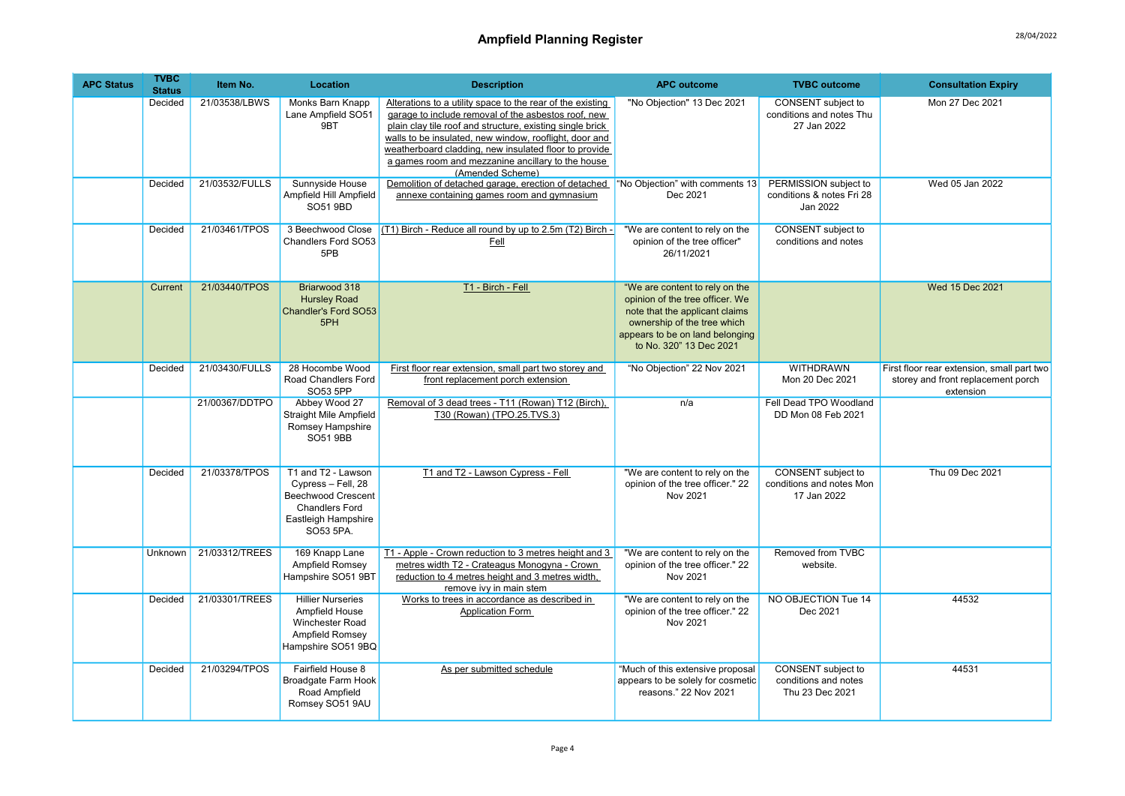## Ampfield Planning Register 28/04/2022

| <b>APC Status</b> | <b>TVBC</b><br><b>Status</b> | Item No.       | <b>Location</b>                                                                                                                    | <b>Description</b>                                                                                                                                                                                                                                                                                                                                                         | <b>APC outcome</b>                                                                                                                                                                               | <b>TVBC</b> outcome                                            | <b>Consultation Expiry</b>                                                                    |
|-------------------|------------------------------|----------------|------------------------------------------------------------------------------------------------------------------------------------|----------------------------------------------------------------------------------------------------------------------------------------------------------------------------------------------------------------------------------------------------------------------------------------------------------------------------------------------------------------------------|--------------------------------------------------------------------------------------------------------------------------------------------------------------------------------------------------|----------------------------------------------------------------|-----------------------------------------------------------------------------------------------|
|                   | Decided                      | 21/03538/LBWS  | Monks Barn Knapp<br>Lane Ampfield SO51<br>9 <sub>RT</sub>                                                                          | Alterations to a utility space to the rear of the existing<br>garage to include removal of the asbestos roof, new<br>plain clay tile roof and structure, existing single brick<br>walls to be insulated, new window, rooflight, door and<br>weatherboard cladding, new insulated floor to provide<br>a games room and mezzanine ancillary to the house<br>(Amended Scheme) | "No Objection" 13 Dec 2021                                                                                                                                                                       | CONSENT subject to<br>conditions and notes Thu<br>27 Jan 2022  | Mon 27 Dec 2021                                                                               |
|                   | Decided                      | 21/03532/FULLS | Sunnyside House<br>Ampfield Hill Ampfield<br>SO51 9BD                                                                              | Demolition of detached garage, erection of detached<br>annexe containing games room and gymnasium                                                                                                                                                                                                                                                                          | "No Objection" with comments 13<br>Dec 2021                                                                                                                                                      | PERMISSION subject to<br>conditions & notes Fri 28<br>Jan 2022 | Wed 05 Jan 2022                                                                               |
|                   | Decided                      | 21/03461/TPOS  | 3 Beechwood Close<br>Chandlers Ford SO53<br>5PB                                                                                    | (T1) Birch - Reduce all round by up to 2.5m (T2) Birch -<br>Fell                                                                                                                                                                                                                                                                                                           | "We are content to rely on the<br>opinion of the tree officer"<br>26/11/2021                                                                                                                     | <b>CONSENT</b> subject to<br>conditions and notes              |                                                                                               |
|                   | Current                      | 21/03440/TPOS  | Briarwood 318<br><b>Hursley Road</b><br>Chandler's Ford SO53<br>5PH                                                                | T1 - Birch - Fell                                                                                                                                                                                                                                                                                                                                                          | "We are content to rely on the<br>opinion of the tree officer. We<br>note that the applicant claims<br>ownership of the tree which<br>appears to be on land belonging<br>to No. 320" 13 Dec 2021 |                                                                | Wed 15 Dec 2021                                                                               |
|                   | Decided                      | 21/03430/FULLS | 28 Hocombe Wood<br>Road Chandlers Ford<br>SO53 5PP                                                                                 | First floor rear extension, small part two storey and<br>front replacement porch extension                                                                                                                                                                                                                                                                                 | "No Objection" 22 Nov 2021                                                                                                                                                                       | <b>WITHDRAWN</b><br>Mon 20 Dec 2021                            | First floor rear extension, small part two<br>storey and front replacement porch<br>extension |
|                   |                              | 21/00367/DDTPO | Abbey Wood 27<br><b>Straight Mile Ampfield</b><br>Romsey Hampshire<br>SO51 9BB                                                     | Removal of 3 dead trees - T11 (Rowan) T12 (Birch),<br>T30 (Rowan) (TPO.25.TVS.3)                                                                                                                                                                                                                                                                                           | n/a                                                                                                                                                                                              | Fell Dead TPO Woodland<br>DD Mon 08 Feb 2021                   |                                                                                               |
|                   | Decided                      | 21/03378/TPOS  | T1 and T2 - Lawson<br>Cypress - Fell, 28<br><b>Beechwood Crescent</b><br><b>Chandlers Ford</b><br>Eastleigh Hampshire<br>SO53 5PA. | T1 and T2 - Lawson Cypress - Fell                                                                                                                                                                                                                                                                                                                                          | "We are content to rely on the<br>opinion of the tree officer." 22<br>Nov 2021                                                                                                                   | CONSENT subject to<br>conditions and notes Mon<br>17 Jan 2022  | Thu 09 Dec 2021                                                                               |
|                   | Unknown                      | 21/03312/TREES | 169 Knapp Lane<br>Ampfield Romsey<br>Hampshire SO51 9BT                                                                            | T1 - Apple - Crown reduction to 3 metres height and 3<br>metres width T2 - Crateagus Monogyna - Crown<br>reduction to 4 metres height and 3 metres width,<br>remove ivy in main stem                                                                                                                                                                                       | "We are content to rely on the<br>opinion of the tree officer." 22<br>Nov 2021                                                                                                                   | Removed from TVBC<br>website.                                  |                                                                                               |
|                   | Decided                      | 21/03301/TREES | <b>Hillier Nurseries</b><br>Ampfield House<br>Winchester Road<br>Ampfield Romsey<br>Hampshire SO51 9BQ                             | Works to trees in accordance as described in<br>Application Form                                                                                                                                                                                                                                                                                                           | "We are content to rely on the<br>opinion of the tree officer." 22<br>Nov 2021                                                                                                                   | NO OBJECTION Tue 14<br>Dec 2021                                | 44532                                                                                         |
|                   | Decided                      | 21/03294/TPOS  | Fairfield House 8<br>Broadgate Farm Hook<br>Road Ampfield<br>Romsey SO51 9AU                                                       | As per submitted schedule                                                                                                                                                                                                                                                                                                                                                  | "Much of this extensive proposal<br>appears to be solely for cosmetic<br>reasons." 22 Nov 2021                                                                                                   | CONSENT subject to<br>conditions and notes<br>Thu 23 Dec 2021  | 44531                                                                                         |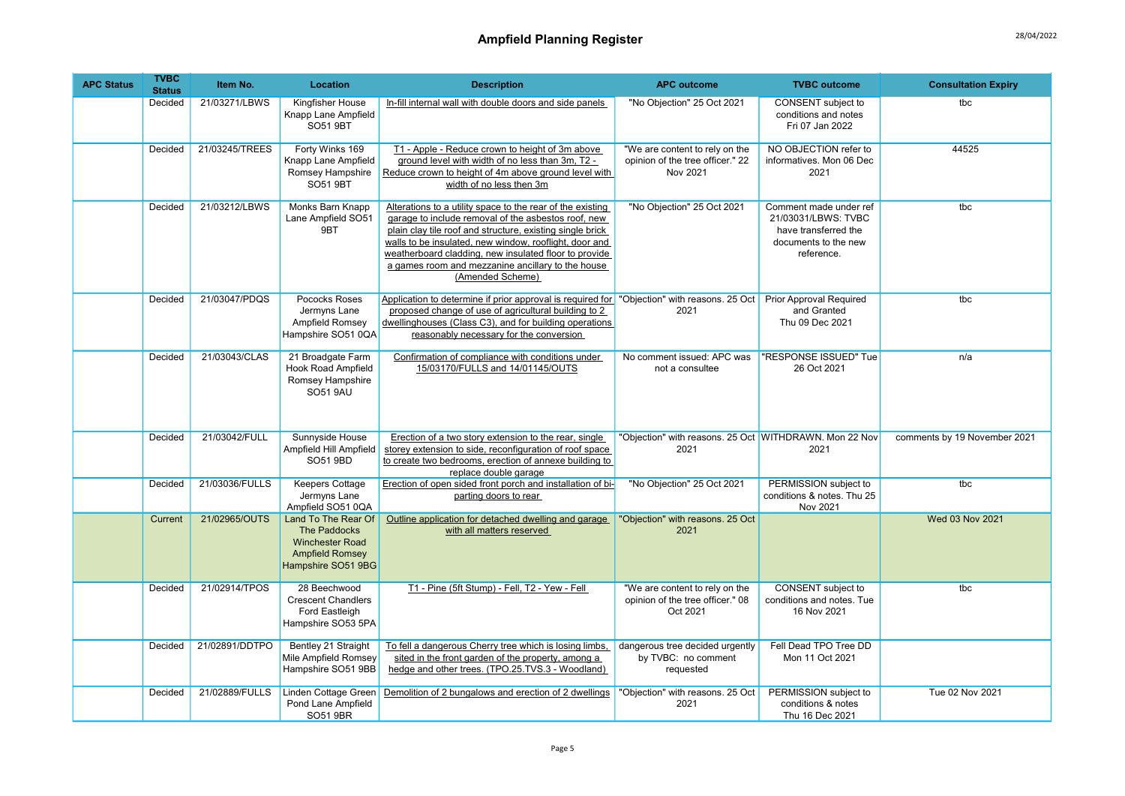| <b>APC Status</b> | <b>TVBC</b><br><b>Status</b> | Item No.       | Location                                                                                                             | <b>Description</b>                                                                                                                                                                                                                                                                                                                                                         | <b>APC outcome</b>                                                             | <b>TVBC</b> outcome                                                                                         | <b>Consultation Expiry</b>   |
|-------------------|------------------------------|----------------|----------------------------------------------------------------------------------------------------------------------|----------------------------------------------------------------------------------------------------------------------------------------------------------------------------------------------------------------------------------------------------------------------------------------------------------------------------------------------------------------------------|--------------------------------------------------------------------------------|-------------------------------------------------------------------------------------------------------------|------------------------------|
|                   | Decided                      | 21/03271/LBWS  | Kingfisher House<br>Knapp Lane Ampfield<br>SO51 9BT                                                                  | In-fill internal wall with double doors and side panels                                                                                                                                                                                                                                                                                                                    | "No Objection" 25 Oct 2021                                                     | CONSENT subject to<br>conditions and notes<br>Fri 07 Jan 2022                                               | tbc                          |
|                   | Decided                      | 21/03245/TREES | Forty Winks 169<br>Knapp Lane Ampfield<br>Romsey Hampshire<br><b>SO51 9BT</b>                                        | T1 - Apple - Reduce crown to height of 3m above<br>ground level with width of no less than 3m, T2 -<br>Reduce crown to height of 4m above ground level with<br>width of no less then 3m                                                                                                                                                                                    | "We are content to rely on the<br>opinion of the tree officer." 22<br>Nov 2021 | NO OBJECTION refer to<br>informatives. Mon 06 Dec<br>2021                                                   | 44525                        |
|                   | Decided                      | 21/03212/LBWS  | Monks Barn Knapp<br>Lane Ampfield SO51<br>9BT                                                                        | Alterations to a utility space to the rear of the existing<br>garage to include removal of the asbestos roof, new<br>plain clay tile roof and structure, existing single brick<br>walls to be insulated, new window, rooflight, door and<br>weatherboard cladding, new insulated floor to provide<br>a games room and mezzanine ancillary to the house<br>(Amended Scheme) | "No Objection" 25 Oct 2021                                                     | Comment made under ref<br>21/03031/LBWS: TVBC<br>have transferred the<br>documents to the new<br>reference. | tbc                          |
|                   | Decided                      | 21/03047/PDQS  | Pococks Roses<br>Jermyns Lane<br>Ampfield Romsey<br>Hampshire SO51 0QA                                               | Application to determine if prior approval is required for "Objection" with reasons. 25 Oct<br>proposed change of use of agricultural building to 2<br>dwellinghouses (Class C3), and for building operations<br>reasonably necessary for the conversion                                                                                                                   | 2021                                                                           | <b>Prior Approval Required</b><br>and Granted<br>Thu 09 Dec 2021                                            | tbc                          |
|                   | Decided                      | 21/03043/CLAS  | 21 Broadgate Farm<br><b>Hook Road Ampfield</b><br>Romsey Hampshire<br><b>SO51 9AU</b>                                | Confirmation of compliance with conditions under<br>15/03170/FULLS and 14/01145/OUTS                                                                                                                                                                                                                                                                                       | No comment issued: APC was<br>not a consultee                                  | "RESPONSE ISSUED" Tue<br>26 Oct 2021                                                                        | n/a                          |
|                   | Decided                      | 21/03042/FULL  | Sunnyside House<br>Ampfield Hill Ampfield<br>SO51 9BD                                                                | Erection of a two story extension to the rear, single<br>storey extension to side, reconfiguration of roof space<br>to create two bedrooms, erection of annexe building to<br>replace double garage                                                                                                                                                                        | "Objection" with reasons. 25 Oct WITHDRAWN. Mon 22 Nov<br>2021                 | 2021                                                                                                        | comments by 19 November 2021 |
|                   | Decided                      | 21/03036/FULLS | Keepers Cottage<br>Jermyns Lane<br>Ampfield SO51 0QA                                                                 | Erection of open sided front porch and installation of bi-<br>parting doors to rear                                                                                                                                                                                                                                                                                        | "No Objection" 25 Oct 2021                                                     | PERMISSION subject to<br>conditions & notes. Thu 25<br>Nov 2021                                             | tbc                          |
|                   | Current                      | 21/02965/OUTS  | Land To The Rear Of<br><b>The Paddocks</b><br><b>Winchester Road</b><br><b>Ampfield Romsey</b><br>Hampshire SO51 9BG | Outline application for detached dwelling and garage<br>with all matters reserved                                                                                                                                                                                                                                                                                          | "Objection" with reasons. 25 Oct<br>2021                                       |                                                                                                             | Wed 03 Nov 2021              |
|                   | Decided                      | 21/02914/TPOS  | 28 Beechwood<br><b>Crescent Chandlers</b><br>Ford Eastleigh<br>Hampshire SO53 5PA                                    | T1 - Pine (5ft Stump) - Fell, T2 - Yew - Fell                                                                                                                                                                                                                                                                                                                              | "We are content to rely on the<br>opinion of the tree officer." 08<br>Oct 2021 | CONSENT subject to<br>conditions and notes. Tue<br>16 Nov 2021                                              | tbc                          |
|                   | Decided                      | 21/02891/DDTPO | Bentley 21 Straight<br>Mile Ampfield Romsey<br>Hampshire SO51 9BB                                                    | To fell a dangerous Cherry tree which is losing limbs,<br>sited in the front garden of the property, among a<br>hedge and other trees. (TPO.25.TVS.3 - Woodland)                                                                                                                                                                                                           | dangerous tree decided urgently<br>by TVBC: no comment<br>requested            | Fell Dead TPO Tree DD<br>Mon 11 Oct 2021                                                                    |                              |
|                   | Decided                      | 21/02889/FULLS | Linden Cottage Green<br>Pond Lane Ampfield<br>SO51 9BR                                                               | Demolition of 2 bungalows and erection of 2 dwellings                                                                                                                                                                                                                                                                                                                      | "Objection" with reasons. 25 Oct<br>2021                                       | PERMISSION subject to<br>conditions & notes<br>Thu 16 Dec 2021                                              | Tue 02 Nov 2021              |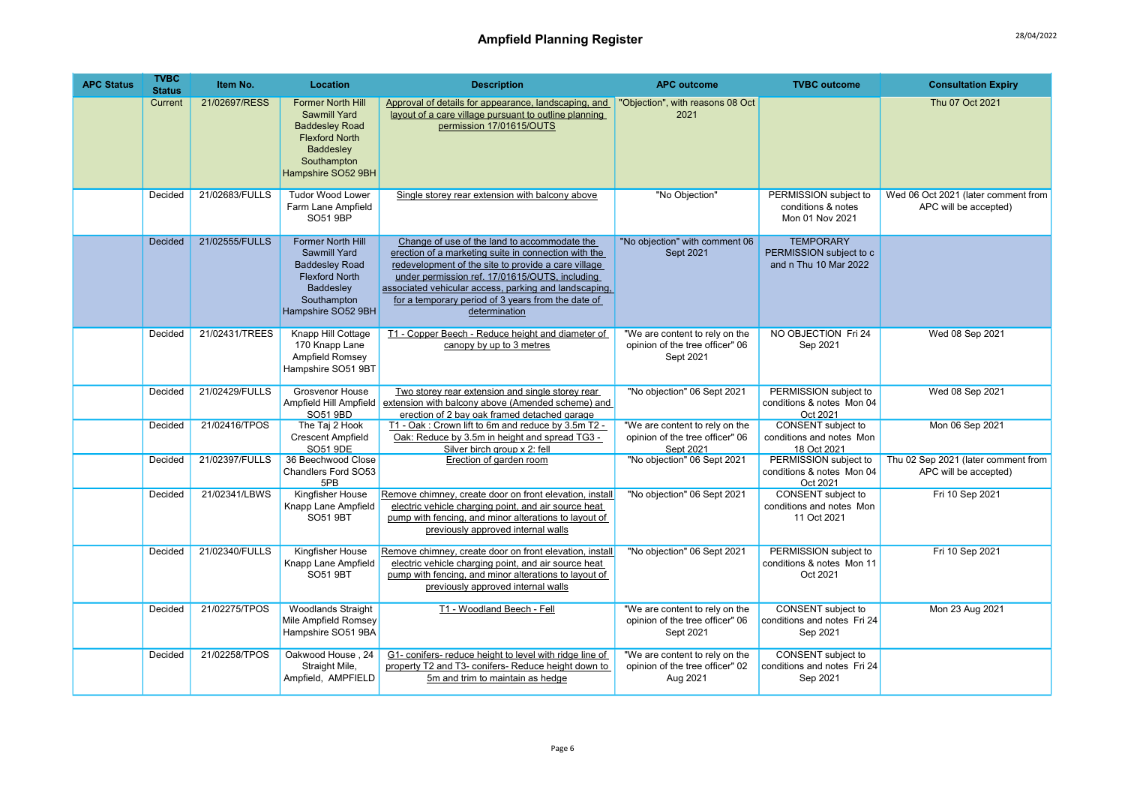| <b>APC Status</b> | <b>TVBC</b><br><b>Status</b> | Item No.       | <b>Location</b>                                                                                                                                     | <b>Description</b>                                                                                                                                                                                                                                                                                                                            | <b>APC outcome</b>                                                             | <b>TVBC</b> outcome                                                  | <b>Consultation Expiry</b>                                   |
|-------------------|------------------------------|----------------|-----------------------------------------------------------------------------------------------------------------------------------------------------|-----------------------------------------------------------------------------------------------------------------------------------------------------------------------------------------------------------------------------------------------------------------------------------------------------------------------------------------------|--------------------------------------------------------------------------------|----------------------------------------------------------------------|--------------------------------------------------------------|
|                   | Current                      | 21/02697/RESS  | <b>Former North Hill</b><br><b>Sawmill Yard</b><br><b>Baddesley Road</b><br><b>Flexford North</b><br>Baddesley<br>Southampton<br>Hampshire SO52 9BH | Approval of details for appearance, landscaping, and<br>layout of a care village pursuant to outline planning<br>permission 17/01615/OUTS                                                                                                                                                                                                     | "Objection", with reasons 08 Oct<br>2021                                       |                                                                      | Thu 07 Oct 2021                                              |
|                   | Decided                      | 21/02683/FULLS | <b>Tudor Wood Lower</b><br>Farm Lane Ampfield<br>SO51 9BP                                                                                           | Single storey rear extension with balcony above                                                                                                                                                                                                                                                                                               | "No Objection"                                                                 | PERMISSION subject to<br>conditions & notes<br>Mon 01 Nov 2021       | Wed 06 Oct 2021 (later comment from<br>APC will be accepted) |
|                   | <b>Decided</b>               | 21/02555/FULLS | <b>Former North Hill</b><br>Sawmill Yard<br><b>Baddesley Road</b><br><b>Flexford North</b><br>Baddesley<br>Southampton<br>Hampshire SO52 9BH        | Change of use of the land to accommodate the<br>erection of a marketing suite in connection with the<br>redevelopment of the site to provide a care village<br>under permission ref. 17/01615/OUTS, including<br>associated vehicular access, parking and landscaping,<br>for a temporary period of 3 years from the date of<br>determination | "No objection" with comment 06<br>Sept 2021                                    | <b>TEMPORARY</b><br>PERMISSION subject to c<br>and n Thu 10 Mar 2022 |                                                              |
|                   | Decided                      | 21/02431/TREES | Knapp Hill Cottage<br>170 Knapp Lane<br>Ampfield Romsey<br>Hampshire SO51 9BT                                                                       | T1 - Copper Beech - Reduce height and diameter of<br>canopy by up to 3 metres                                                                                                                                                                                                                                                                 | "We are content to rely on the<br>opinion of the tree officer" 06<br>Sept 2021 | NO OBJECTION Fri 24<br>Sep 2021                                      | Wed 08 Sep 2021                                              |
|                   | Decided                      | 21/02429/FULLS | <b>Grosvenor House</b><br>Ampfield Hill Ampfield<br>SO51 9BD                                                                                        | Two storey rear extension and single storey rear<br>extension with balcony above (Amended scheme) and<br>erection of 2 bay oak framed detached garage                                                                                                                                                                                         | "No objection" 06 Sept 2021                                                    | PERMISSION subject to<br>conditions & notes Mon 04<br>Oct 2021       | Wed 08 Sep 2021                                              |
|                   | Decided                      | 21/02416/TPOS  | The Taj 2 Hook<br><b>Crescent Ampfield</b><br>SO51 9DE                                                                                              | T1 - Oak: Crown lift to 6m and reduce by 3.5m T2 -<br>Oak: Reduce by 3.5m in height and spread TG3 -<br>Silver birch group x 2: fell                                                                                                                                                                                                          | "We are content to rely on the<br>opinion of the tree officer" 06<br>Sept 2021 | <b>CONSENT</b> subject to<br>conditions and notes Mon<br>18 Oct 2021 | Mon 06 Sep 2021                                              |
|                   | Decided                      | 21/02397/FULLS | 36 Beechwood Close<br>Chandlers Ford SO53<br>5PB                                                                                                    | Erection of garden room                                                                                                                                                                                                                                                                                                                       | "No objection" 06 Sept 2021                                                    | PERMISSION subject to<br>conditions & notes Mon 04<br>Oct 2021       | Thu 02 Sep 2021 (later comment from<br>APC will be accepted) |
|                   | Decided                      | 21/02341/LBWS  | Kingfisher House<br>Knapp Lane Ampfield<br><b>SO51 9BT</b>                                                                                          | Remove chimney, create door on front elevation, install<br>electric vehicle charging point, and air source heat<br>pump with fencing, and minor alterations to layout of<br>previously approved internal walls                                                                                                                                | "No objection" 06 Sept 2021                                                    | CONSENT subject to<br>conditions and notes Mon<br>11 Oct 2021        | Fri 10 Sep 2021                                              |
|                   | Decided                      | 21/02340/FULLS | Kingfisher House<br>Knapp Lane Ampfield<br>SO51 9BT                                                                                                 | Remove chimney, create door on front elevation, install<br>electric vehicle charging point, and air source heat<br>pump with fencing, and minor alterations to layout of<br>previously approved internal walls                                                                                                                                | "No objection" 06 Sept 2021                                                    | PERMISSION subject to<br>conditions & notes Mon 11<br>Oct 2021       | Fri 10 Sep 2021                                              |
|                   | Decided                      | 21/02275/TPOS  | <b>Woodlands Straight</b><br>Mile Ampfield Romsey<br>Hampshire SO51 9BA                                                                             | T1 - Woodland Beech - Fell                                                                                                                                                                                                                                                                                                                    | "We are content to rely on the<br>opinion of the tree officer" 06<br>Sept 2021 | <b>CONSENT</b> subject to<br>conditions and notes Fri 24<br>Sep 2021 | Mon 23 Aug 2021                                              |
|                   | Decided                      | 21/02258/TPOS  | Oakwood House, 24<br>Straight Mile,<br>Ampfield, AMPFIELD                                                                                           | G1- conifers- reduce height to level with ridge line of<br>property T2 and T3- conifers- Reduce height down to<br>5m and trim to maintain as hedge                                                                                                                                                                                            | "We are content to rely on the<br>opinion of the tree officer" 02<br>Aug 2021  | CONSENT subject to<br>conditions and notes Fri 24<br>Sep 2021        |                                                              |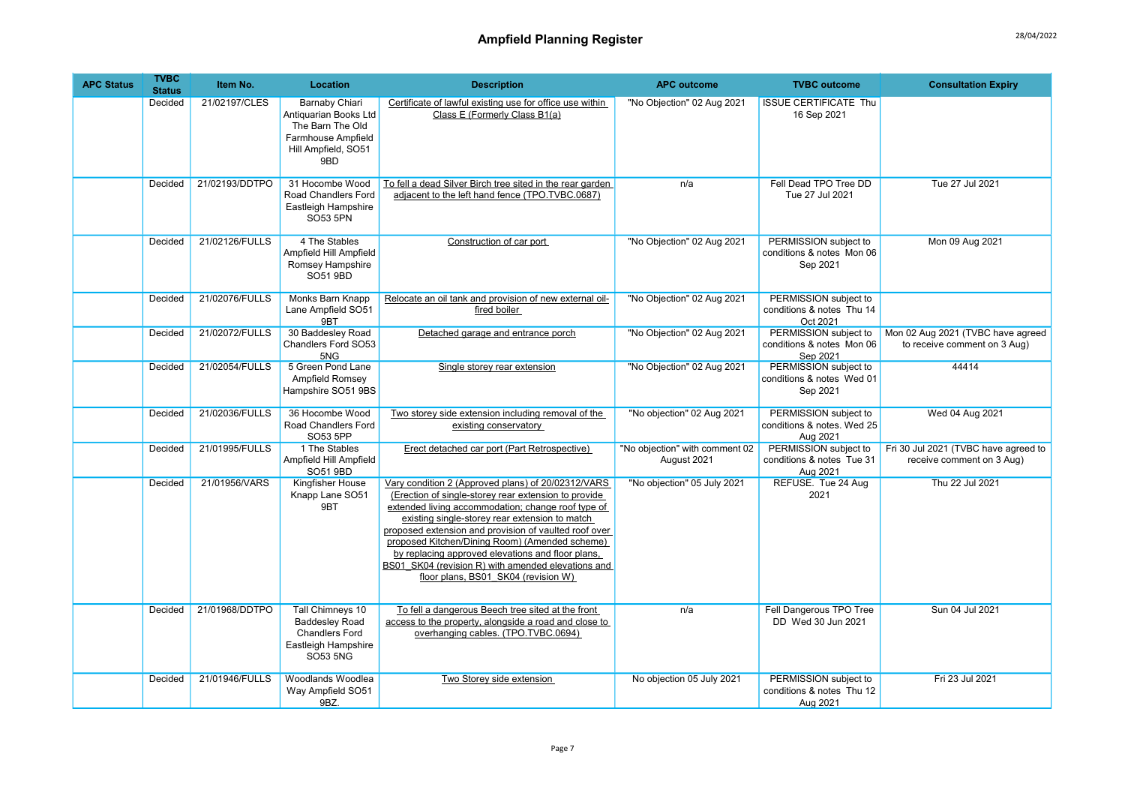| <b>APC Status</b> | <b>TVBC</b><br><b>Status</b> | Item No.       | Location                                                                                                               | <b>Description</b>                                                                                                                                                                                                                                                                                                                                                                                                                                                              | <b>APC outcome</b>                            | <b>TVBC</b> outcome                                             | <b>Consultation Expiry</b>                                        |
|-------------------|------------------------------|----------------|------------------------------------------------------------------------------------------------------------------------|---------------------------------------------------------------------------------------------------------------------------------------------------------------------------------------------------------------------------------------------------------------------------------------------------------------------------------------------------------------------------------------------------------------------------------------------------------------------------------|-----------------------------------------------|-----------------------------------------------------------------|-------------------------------------------------------------------|
|                   | Decided                      | 21/02197/CLES  | <b>Barnaby Chiari</b><br>Antiquarian Books Ltd<br>The Barn The Old<br>Farmhouse Ampfield<br>Hill Ampfield, SO51<br>9BD | Certificate of lawful existing use for office use within<br>Class E (Formerly Class B1(a)                                                                                                                                                                                                                                                                                                                                                                                       | "No Objection" 02 Aug 2021                    | <b>ISSUE CERTIFICATE Thu</b><br>16 Sep 2021                     |                                                                   |
|                   | Decided                      | 21/02193/DDTPO | 31 Hocombe Wood<br>Road Chandlers Ford<br>Eastleigh Hampshire<br><b>SO53 5PN</b>                                       | To fell a dead Silver Birch tree sited in the rear garden<br>adjacent to the left hand fence (TPO.TVBC.0687)                                                                                                                                                                                                                                                                                                                                                                    | n/a                                           | Fell Dead TPO Tree DD<br>Tue 27 Jul 2021                        | Tue 27 Jul 2021                                                   |
|                   | Decided                      | 21/02126/FULLS | 4 The Stables<br>Ampfield Hill Ampfield<br>Romsey Hampshire<br>SO51 9BD                                                | Construction of car port                                                                                                                                                                                                                                                                                                                                                                                                                                                        | "No Objection" 02 Aug 2021                    | PERMISSION subject to<br>conditions & notes Mon 06<br>Sep 2021  | Mon 09 Aug 2021                                                   |
|                   | Decided                      | 21/02076/FULLS | Monks Barn Knapp<br>Lane Ampfield SO51<br>9BT                                                                          | Relocate an oil tank and provision of new external oil-<br>fired boiler                                                                                                                                                                                                                                                                                                                                                                                                         | "No Objection" 02 Aug 2021                    | PERMISSION subject to<br>conditions & notes Thu 14<br>Oct 2021  |                                                                   |
|                   | Decided                      | 21/02072/FULLS | 30 Baddesley Road<br>Chandlers Ford SO53<br>5NG                                                                        | Detached garage and entrance porch                                                                                                                                                                                                                                                                                                                                                                                                                                              | "No Objection" 02 Aug 2021                    | PERMISSION subject to<br>conditions & notes Mon 06<br>Sep 2021  | Mon 02 Aug 2021 (TVBC have agreed<br>to receive comment on 3 Aug) |
|                   | Decided                      | 21/02054/FULLS | 5 Green Pond Lane<br>Ampfield Romsey<br>Hampshire SO51 9BS                                                             | Single storey rear extension                                                                                                                                                                                                                                                                                                                                                                                                                                                    | "No Objection" 02 Aug 2021                    | PERMISSION subject to<br>conditions & notes Wed 01<br>Sep 2021  | 44414                                                             |
|                   | Decided                      | 21/02036/FULLS | 36 Hocombe Wood<br>Road Chandlers Ford<br>SO53 5PP                                                                     | Two storey side extension including removal of the<br>existing conservatory                                                                                                                                                                                                                                                                                                                                                                                                     | "No objection" 02 Aug 2021                    | PERMISSION subject to<br>conditions & notes. Wed 25<br>Aug 2021 | Wed 04 Aug 2021                                                   |
|                   | Decided                      | 21/01995/FULLS | 1 The Stables<br>Ampfield Hill Ampfield<br>SO51 9BD                                                                    | Erect detached car port (Part Retrospective)                                                                                                                                                                                                                                                                                                                                                                                                                                    | "No objection" with comment 02<br>August 2021 | PERMISSION subject to<br>conditions & notes Tue 31<br>Aug 2021  | Fri 30 Jul 2021 (TVBC have agreed to<br>receive comment on 3 Aug) |
|                   | Decided                      | 21/01956/VARS  | Kingfisher House<br>Knapp Lane SO51<br>9BT                                                                             | Vary condition 2 (Approved plans) of 20/02312/VARS<br>(Erection of single-storey rear extension to provide<br>extended living accommodation; change roof type of<br>existing single-storey rear extension to match<br>proposed extension and provision of vaulted roof over<br>proposed Kitchen/Dining Room) (Amended scheme)<br>by replacing approved elevations and floor plans,<br>BS01 SK04 (revision R) with amended elevations and<br>floor plans, BS01 SK04 (revision W) | "No objection" 05 July 2021                   | REFUSE. Tue 24 Aug<br>2021                                      | Thu 22 Jul 2021                                                   |
|                   | Decided                      | 21/01968/DDTPO | <b>Tall Chimneys 10</b><br><b>Baddesley Road</b><br><b>Chandlers Ford</b><br>Eastleigh Hampshire<br><b>SO53 5NG</b>    | To fell a dangerous Beech tree sited at the front<br>access to the property, alongside a road and close to<br>overhanging cables. (TPO.TVBC.0694)                                                                                                                                                                                                                                                                                                                               | n/a                                           | Fell Dangerous TPO Tree<br>DD Wed 30 Jun 2021                   | Sun 04 Jul 2021                                                   |
|                   | Decided                      | 21/01946/FULLS | Woodlands Woodlea<br>Way Ampfield SO51<br>9BZ.                                                                         | Two Storey side extension                                                                                                                                                                                                                                                                                                                                                                                                                                                       | No objection 05 July 2021                     | PERMISSION subject to<br>conditions & notes Thu 12<br>Aug 2021  | Fri 23 Jul 2021                                                   |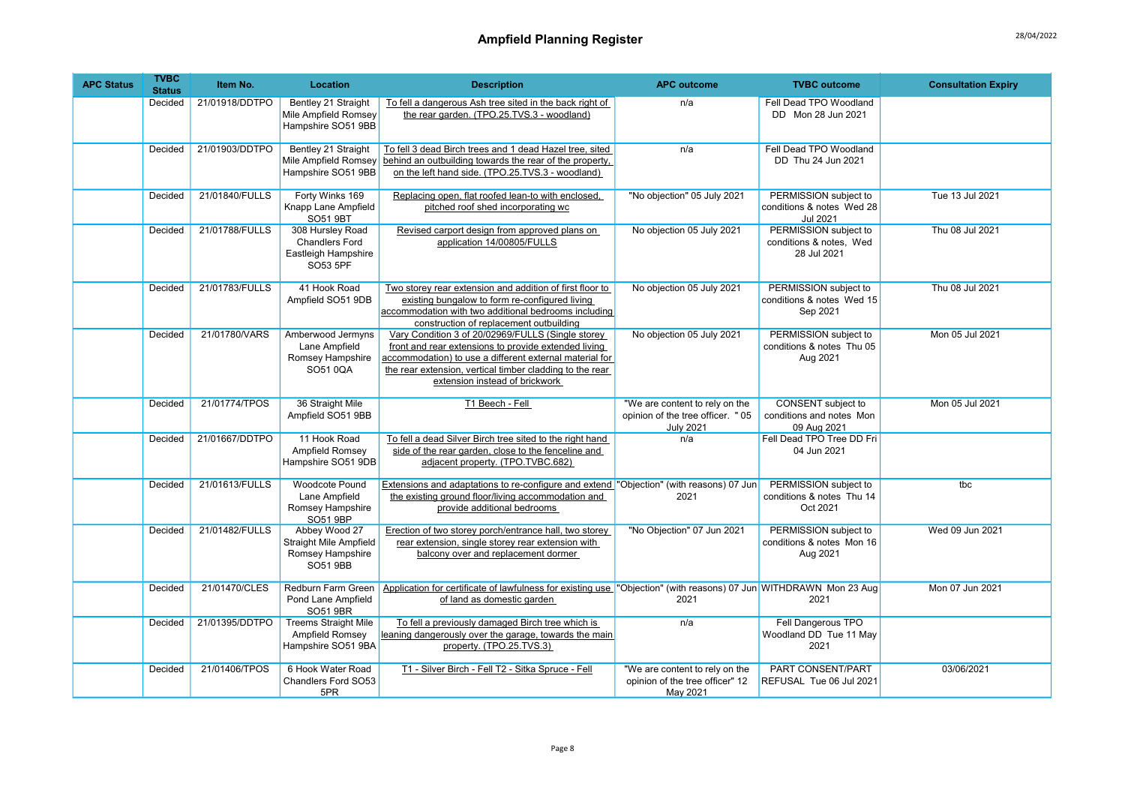| <b>APC Status</b> | <b>TVBC</b><br><b>Status</b> | Item No.       | <b>Location</b>                                                                       | <b>Description</b>                                                                                                                                                                                                                                                 | <b>APC outcome</b>                                                                     | <b>TVBC</b> outcome                                                  | <b>Consultation Expiry</b> |
|-------------------|------------------------------|----------------|---------------------------------------------------------------------------------------|--------------------------------------------------------------------------------------------------------------------------------------------------------------------------------------------------------------------------------------------------------------------|----------------------------------------------------------------------------------------|----------------------------------------------------------------------|----------------------------|
|                   | Decided                      | 21/01918/DDTPO | Bentley 21 Straight<br>Mile Ampfield Romsey<br>Hampshire SO51 9BB                     | To fell a dangerous Ash tree sited in the back right of<br>the rear garden. (TPO.25.TVS.3 - woodland)                                                                                                                                                              | n/a                                                                                    | Fell Dead TPO Woodland<br>DD Mon 28 Jun 2021                         |                            |
|                   | Decided                      | 21/01903/DDTPO | Bentley 21 Straight<br>Mile Ampfield Romsey<br>Hampshire SO51 9BB                     | To fell 3 dead Birch trees and 1 dead Hazel tree, sited<br>behind an outbuilding towards the rear of the property,<br>on the left hand side. (TPO.25.TVS.3 - woodland)                                                                                             | n/a                                                                                    | Fell Dead TPO Woodland<br>DD Thu 24 Jun 2021                         |                            |
|                   | Decided                      | 21/01840/FULLS | Forty Winks 169<br>Knapp Lane Ampfield<br><b>SO51 9BT</b>                             | Replacing open, flat roofed lean-to with enclosed,<br>pitched roof shed incorporating wc                                                                                                                                                                           | "No objection" 05 July 2021                                                            | PERMISSION subject to<br>conditions & notes Wed 28<br>Jul 2021       | Tue 13 Jul 2021            |
|                   | Decided                      | 21/01788/FULLS | 308 Hursley Road<br><b>Chandlers Ford</b><br>Eastleigh Hampshire<br>SO53 5PF          | Revised carport design from approved plans on<br>application 14/00805/FULLS                                                                                                                                                                                        | No objection 05 July 2021                                                              | PERMISSION subject to<br>conditions & notes, Wed<br>28 Jul 2021      | Thu 08 Jul 2021            |
|                   | Decided                      | 21/01783/FULLS | 41 Hook Road<br>Ampfield SO51 9DB                                                     | Two storey rear extension and addition of first floor to<br>existing bungalow to form re-configured living<br>accommodation with two additional bedrooms including<br>construction of replacement outbuilding                                                      | No objection 05 July 2021                                                              | PERMISSION subject to<br>conditions & notes Wed 15<br>Sep 2021       | Thu 08 Jul 2021            |
|                   | Decided                      | 21/01780/VARS  | Amberwood Jermyns<br>Lane Ampfield<br>Romsey Hampshire<br>SO51 0QA                    | Vary Condition 3 of 20/02969/FULLS (Single storey<br>front and rear extensions to provide extended living<br>accommodation) to use a different external material for<br>the rear extension, vertical timber cladding to the rear<br>extension instead of brickwork | No objection 05 July 2021                                                              | PERMISSION subject to<br>conditions & notes Thu 05<br>Aug 2021       | Mon 05 Jul 2021            |
|                   | Decided                      | 21/01774/TPOS  | 36 Straight Mile<br>Ampfield SO51 9BB                                                 | T1 Beech - Fell                                                                                                                                                                                                                                                    | "We are content to rely on the<br>opinion of the tree officer. "05<br><b>July 2021</b> | <b>CONSENT</b> subject to<br>conditions and notes Mon<br>09 Aug 2021 | Mon 05 Jul 2021            |
|                   | Decided                      | 21/01667/DDTPO | 11 Hook Road<br>Ampfield Romsey<br>Hampshire SO51 9DB                                 | To fell a dead Silver Birch tree sited to the right hand<br>side of the rear garden, close to the fenceline and<br>adjacent property. (TPO.TVBC.682)                                                                                                               | n/a                                                                                    | Fell Dead TPO Tree DD Fri<br>04 Jun 2021                             |                            |
|                   | Decided                      | 21/01613/FULLS | <b>Woodcote Pound</b><br>Lane Ampfield<br>Romsey Hampshire<br>SO51 9BP                | Extensions and adaptations to re-configure and extend "Objection" (with reasons) 07 Jun<br>the existing ground floor/living accommodation and<br>provide additional bedrooms                                                                                       | 2021                                                                                   | PERMISSION subject to<br>conditions & notes Thu 14<br>Oct 2021       | tbc                        |
|                   | Decided                      | 21/01482/FULLS | Abbey Wood 27<br><b>Straight Mile Ampfield</b><br>Romsey Hampshire<br><b>SO51 9BB</b> | Erection of two storey porch/entrance hall, two storey<br>rear extension, single storey rear extension with<br>balcony over and replacement dormer                                                                                                                 | "No Objection" 07 Jun 2021                                                             | PERMISSION subject to<br>conditions & notes Mon 16<br>Aug 2021       | Wed 09 Jun 2021            |
|                   | Decided                      | 21/01470/CLES  | Redburn Farm Green<br>Pond Lane Ampfield<br>SO51 9BR                                  | Application for certificate of lawfulness for existing use "Objection" (with reasons) 07 Jun WITHDRAWN Mon 23 Aug<br>of land as domestic garden                                                                                                                    | 2021                                                                                   | 2021                                                                 | Mon 07 Jun 2021            |
|                   | Decided                      | 21/01395/DDTPO | <b>Treems Straight Mile</b><br>Ampfield Romsey<br>Hampshire SO51 9BA                  | To fell a previously damaged Birch tree which is<br>leaning dangerously over the garage, towards the main<br>property. (TPO.25.TVS.3)                                                                                                                              | n/a                                                                                    | Fell Dangerous TPO<br>Woodland DD Tue 11 May<br>2021                 |                            |
|                   | Decided                      | 21/01406/TPOS  | 6 Hook Water Road<br>Chandlers Ford SO53<br>5PR                                       | T1 - Silver Birch - Fell T2 - Sitka Spruce - Fell                                                                                                                                                                                                                  | "We are content to rely on the<br>opinion of the tree officer" 12<br>May 2021          | PART CONSENT/PART<br>REFUSAL Tue 06 Jul 2021                         | 03/06/2021                 |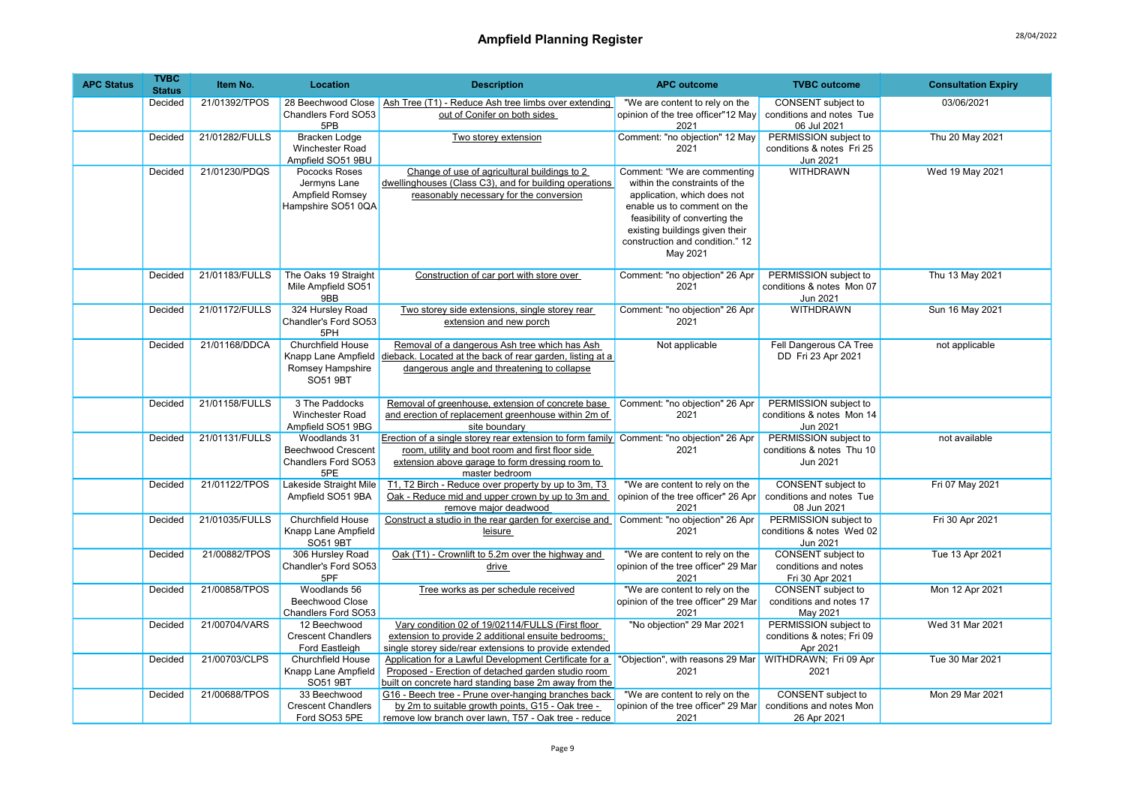| <b>APC Status</b> | <b>TVBC</b><br><b>Status</b> | Item No.       | Location                                                                        | <b>Description</b>                                                                                                                                                    | <b>APC outcome</b>                                                                                                                                                                                                                           | <b>TVBC</b> outcome                                             | <b>Consultation Expiry</b>                                     |               |
|-------------------|------------------------------|----------------|---------------------------------------------------------------------------------|-----------------------------------------------------------------------------------------------------------------------------------------------------------------------|----------------------------------------------------------------------------------------------------------------------------------------------------------------------------------------------------------------------------------------------|-----------------------------------------------------------------|----------------------------------------------------------------|---------------|
|                   | Decided                      | 21/01392/TPOS  | 28 Beechwood Close<br>Chandlers Ford SO53<br>5PB                                | Ash Tree (T1) - Reduce Ash tree limbs over extending<br>out of Conifer on both sides                                                                                  | "We are content to rely on the<br>opinion of the tree officer"12 May<br>2021                                                                                                                                                                 | CONSENT subject to<br>conditions and notes Tue<br>06 Jul 2021   | 03/06/2021                                                     |               |
|                   | Decided                      | 21/01282/FULLS | <b>Bracken Lodge</b><br>Winchester Road<br>Ampfield SO51 9BU                    | Two storey extension                                                                                                                                                  | Comment: "no objection" 12 May<br>2021                                                                                                                                                                                                       | PERMISSION subject to<br>conditions & notes Fri 25<br>Jun 2021  | Thu 20 May 2021                                                |               |
|                   | Decided                      | 21/01230/PDQS  | Pococks Roses<br>Jermyns Lane<br>Ampfield Romsey<br>Hampshire SO51 0QA          | Change of use of agricultural buildings to 2<br>dwellinghouses (Class C3), and for building operations<br>reasonably necessary for the conversion                     | Comment: "We are commenting<br>within the constraints of the<br>application, which does not<br>enable us to comment on the<br>feasibility of converting the<br>existing buildings given their<br>construction and condition." 12<br>May 2021 | <b>WITHDRAWN</b>                                                | Wed 19 May 2021                                                |               |
|                   | Decided                      | 21/01183/FULLS | The Oaks 19 Straight<br>Mile Ampfield SO51<br>9BB                               | Construction of car port with store over                                                                                                                              | Comment: "no objection" 26 Apr<br>2021                                                                                                                                                                                                       | PERMISSION subject to<br>conditions & notes Mon 07<br>Jun 2021  | Thu 13 May 2021                                                |               |
|                   | Decided                      | 21/01172/FULLS | 324 Hursley Road<br>Chandler's Ford SO53<br>5PH                                 | Two storey side extensions, single storey rear<br>extension and new porch                                                                                             | Comment: "no objection" 26 Apr<br>2021                                                                                                                                                                                                       | <b>WITHDRAWN</b>                                                | Sun 16 May 2021                                                |               |
|                   | Decided                      | 21/01168/DDCA  | Churchfield House<br>Knapp Lane Ampfield<br>Romsey Hampshire<br><b>SO51 9BT</b> | Removal of a dangerous Ash tree which has Ash<br>dieback. Located at the back of rear garden, listing at a<br>dangerous angle and threatening to collapse             | Not applicable                                                                                                                                                                                                                               | Fell Dangerous CA Tree<br>DD Fri 23 Apr 2021                    | not applicable                                                 |               |
|                   | Decided                      | 21/01158/FULLS | 3 The Paddocks<br>Winchester Road<br>Ampfield SO51 9BG                          | Removal of greenhouse, extension of concrete base<br>and erection of replacement greenhouse within 2m of<br>site boundary                                             | Comment: "no objection" 26 Apr<br>2021                                                                                                                                                                                                       | PERMISSION subject to<br>conditions & notes Mon 14<br>Jun 2021  |                                                                |               |
|                   | Decided                      | 21/01131/FULLS | 5PE                                                                             | Woodlands 31<br><b>Beechwood Crescent</b><br>Chandlers Ford SO53                                                                                                      | Erection of a single storey rear extension to form family Comment: "no objection" 26 Apr<br>room, utility and boot room and first floor side<br>extension above garage to form dressing room to<br>master bedroom                            | 2021                                                            | PERMISSION subject to<br>conditions & notes Thu 10<br>Jun 2021 | not available |
|                   | Decided                      | 21/01122/TPOS  | Lakeside Straight Mile<br>Ampfield SO51 9BA                                     | T1, T2 Birch - Reduce over property by up to 3m, T3<br>Oak - Reduce mid and upper crown by up to 3m and<br>remove maior deadwood                                      | "We are content to rely on the<br>opinion of the tree officer" 26 Apr<br>2021                                                                                                                                                                | CONSENT subject to<br>conditions and notes Tue<br>08 Jun 2021   | Fri 07 May 2021                                                |               |
|                   | Decided                      | 21/01035/FULLS | Churchfield House<br>Knapp Lane Ampfield<br><b>SO51 9BT</b>                     | Construct a studio in the rear garden for exercise and<br>leisure                                                                                                     | Comment: "no objection" 26 Apr<br>2021                                                                                                                                                                                                       | PERMISSION subject to<br>conditions & notes Wed 02<br>Jun 2021  | Fri 30 Apr 2021                                                |               |
|                   | Decided                      | 21/00882/TPOS  | 306 Hursley Road<br>Chandler's Ford SO53<br>5PF                                 | Oak (T1) - Crownlift to 5.2m over the highway and<br>drive                                                                                                            | "We are content to rely on the<br>opinion of the tree officer" 29 Mar<br>2021                                                                                                                                                                | CONSENT subject to<br>conditions and notes<br>Fri 30 Apr 2021   | Tue 13 Apr 2021                                                |               |
|                   | Decided                      | 21/00858/TPOS  | Woodlands 56<br>Beechwood Close<br>Chandlers Ford SO53                          | Tree works as per schedule received                                                                                                                                   | "We are content to rely on the<br>opinion of the tree officer" 29 Mar<br>2021                                                                                                                                                                | CONSENT subject to<br>conditions and notes 17<br>May 2021       | Mon 12 Apr 2021                                                |               |
|                   | Decided                      | 21/00704/VARS  | 12 Beechwood<br><b>Crescent Chandlers</b><br>Ford Eastleigh                     | Vary condition 02 of 19/02114/FULLS (First floor<br>extension to provide 2 additional ensuite bedrooms;<br>single storey side/rear extensions to provide extended     | "No objection" 29 Mar 2021                                                                                                                                                                                                                   | PERMISSION subject to<br>conditions & notes; Fri 09<br>Apr 2021 | Wed 31 Mar 2021                                                |               |
|                   | Decided                      | 21/00703/CLPS  | Churchfield House<br>Knapp Lane Ampfield<br>SO51 9BT                            | Application for a Lawful Development Certificate for a<br>Proposed - Erection of detached garden studio room<br>built on concrete hard standing base 2m away from the | "Objection", with reasons 29 Mar<br>2021                                                                                                                                                                                                     | WITHDRAWN; Fri 09 Apr<br>2021                                   | Tue 30 Mar 2021                                                |               |
|                   | Decided                      | 21/00688/TPOS  | 33 Beechwood<br><b>Crescent Chandlers</b><br>Ford SO53 5PE                      | G16 - Beech tree - Prune over-hanging branches back<br>by 2m to suitable growth points, G15 - Oak tree -<br>remove low branch over lawn, T57 - Oak tree - reduce      | "We are content to rely on the<br>opinion of the tree officer" 29 Mar<br>2021                                                                                                                                                                | CONSENT subject to<br>conditions and notes Mon<br>26 Apr 2021   | Mon 29 Mar 2021                                                |               |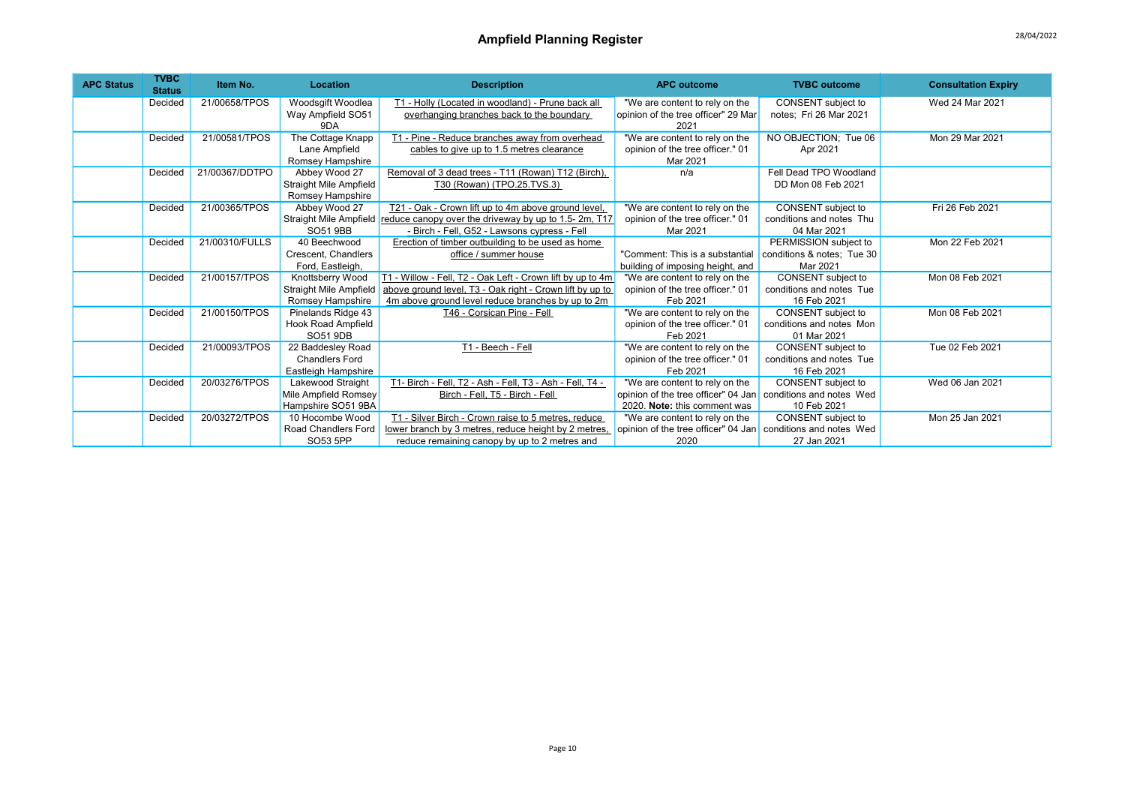## Ampfield Planning Register 28/04/2022

| <b>APC Status</b> | <b>TVBC</b><br><b>Status</b> | Item No.       | Location                                   | <b>Description</b>                                                                             | <b>APC outcome</b>                                                    | <b>TVBC</b> outcome                          | <b>Consultation Expiry</b> |
|-------------------|------------------------------|----------------|--------------------------------------------|------------------------------------------------------------------------------------------------|-----------------------------------------------------------------------|----------------------------------------------|----------------------------|
|                   | Decided                      | 21/00658/TPOS  | Woodsgift Woodlea<br>Way Ampfield SO51     | T1 - Holly (Located in woodland) - Prune back all<br>overhanging branches back to the boundary | "We are content to rely on the<br>opinion of the tree officer" 29 Mar | CONSENT subject to<br>notes; Fri 26 Mar 2021 | Wed 24 Mar 2021            |
|                   |                              |                | 9DA                                        |                                                                                                | 2021                                                                  |                                              |                            |
|                   | Decided                      | 21/00581/TPOS  | The Cottage Knapp                          | T1 - Pine - Reduce branches away from overhead                                                 | "We are content to rely on the                                        | NO OBJECTION: Tue 06                         | Mon 29 Mar 2021            |
|                   |                              |                | Lane Ampfield                              | cables to give up to 1.5 metres clearance                                                      | opinion of the tree officer." 01                                      | Apr 2021                                     |                            |
|                   |                              |                | Romsey Hampshire                           |                                                                                                | Mar 2021                                                              | Fell Dead TPO Woodland                       |                            |
|                   | Decided                      | 21/00367/DDTPO | Abbey Wood 27                              | Removal of 3 dead trees - T11 (Rowan) T12 (Birch),                                             | n/a                                                                   |                                              |                            |
|                   |                              |                | Straight Mile Ampfield<br>Romsey Hampshire | T30 (Rowan) (TPO.25.TVS.3)                                                                     |                                                                       | DD Mon 08 Feb 2021                           |                            |
|                   | Decided                      | 21/00365/TPOS  | Abbey Wood 27                              | T21 - Oak - Crown lift up to 4m above ground level,                                            | "We are content to rely on the                                        | CONSENT subject to                           | Fri 26 Feb 2021            |
|                   |                              |                | Straight Mile Ampfield                     | reduce canopy over the driveway by up to 1.5-2m. T17                                           | opinion of the tree officer." 01                                      | conditions and notes Thu                     |                            |
|                   |                              |                | SO51 9BB                                   | - Birch - Fell, G52 - Lawsons cypress - Fell                                                   | Mar 2021                                                              | 04 Mar 2021                                  |                            |
|                   | Decided                      | 21/00310/FULLS | 40 Beechwood                               | Erection of timber outbuilding to be used as home                                              |                                                                       | PERMISSION subject to                        | Mon 22 Feb 2021            |
|                   |                              |                | Crescent. Chandlers                        | office / summer house                                                                          | "Comment: This is a substantial                                       | conditions & notes; Tue 30                   |                            |
|                   |                              |                | Ford, Eastleigh,                           |                                                                                                | building of imposing height, and                                      | Mar 2021                                     |                            |
|                   | Decided                      | 21/00157/TPOS  | Knottsberry Wood                           | T1 - Willow - Fell. T2 - Oak Left - Crown lift by up to 4m                                     | "We are content to rely on the                                        | CONSENT subject to                           | Mon 08 Feb 2021            |
|                   |                              |                | <b>Straight Mile Ampfield</b>              | above ground level, T3 - Oak right - Crown lift by up to                                       | opinion of the tree officer." 01                                      | conditions and notes Tue                     |                            |
|                   |                              |                | Romsey Hampshire                           | 4m above ground level reduce branches by up to 2m                                              | Feb 2021                                                              | 16 Feb 2021                                  |                            |
|                   | Decided                      | 21/00150/TPOS  | Pinelands Ridge 43                         | T46 - Corsican Pine - Fell                                                                     | "We are content to rely on the                                        | CONSENT subject to                           | Mon 08 Feb 2021            |
|                   |                              |                | Hook Road Ampfield                         |                                                                                                | opinion of the tree officer." 01                                      | conditions and notes Mon                     |                            |
|                   |                              |                | SO51 9DB                                   |                                                                                                | Feb 2021                                                              | 01 Mar 2021                                  |                            |
|                   | Decided                      | 21/00093/TPOS  | 22 Baddesley Road                          | T1 - Beech - Fell                                                                              | "We are content to rely on the                                        | CONSENT subject to                           | Tue 02 Feb 2021            |
|                   |                              |                | <b>Chandlers Ford</b>                      |                                                                                                | opinion of the tree officer." 01                                      | conditions and notes Tue                     |                            |
|                   |                              |                | Eastleigh Hampshire                        |                                                                                                | Feb 2021                                                              | 16 Feb 2021                                  |                            |
|                   | Decided                      | 20/03276/TPOS  | Lakewood Straight                          | T1- Birch - Fell, T2 - Ash - Fell, T3 - Ash - Fell, T4 -                                       | "We are content to rely on the                                        | <b>CONSENT</b> subject to                    | Wed 06 Jan 2021            |
|                   |                              |                | Mile Ampfield Romsey                       | Birch - Fell, T5 - Birch - Fell                                                                | opinion of the tree officer" 04 Jan                                   | conditions and notes Wed                     |                            |
|                   |                              |                | Hampshire SO51 9BA                         |                                                                                                | 2020. Note: this comment was                                          | 10 Feb 2021                                  |                            |
|                   | Decided                      | 20/03272/TPOS  | 10 Hocombe Wood                            | T1 - Silver Birch - Crown raise to 5 metres, reduce                                            | "We are content to rely on the                                        | CONSENT subject to                           | Mon 25 Jan 2021            |
|                   |                              |                | Road Chandlers Ford                        | lower branch by 3 metres, reduce height by 2 metres.                                           | opinion of the tree officer" 04 Jan                                   | conditions and notes Wed                     |                            |
|                   |                              |                | SO53 5PP                                   | reduce remaining canopy by up to 2 metres and                                                  | 2020                                                                  | 27 Jan 2021                                  |                            |